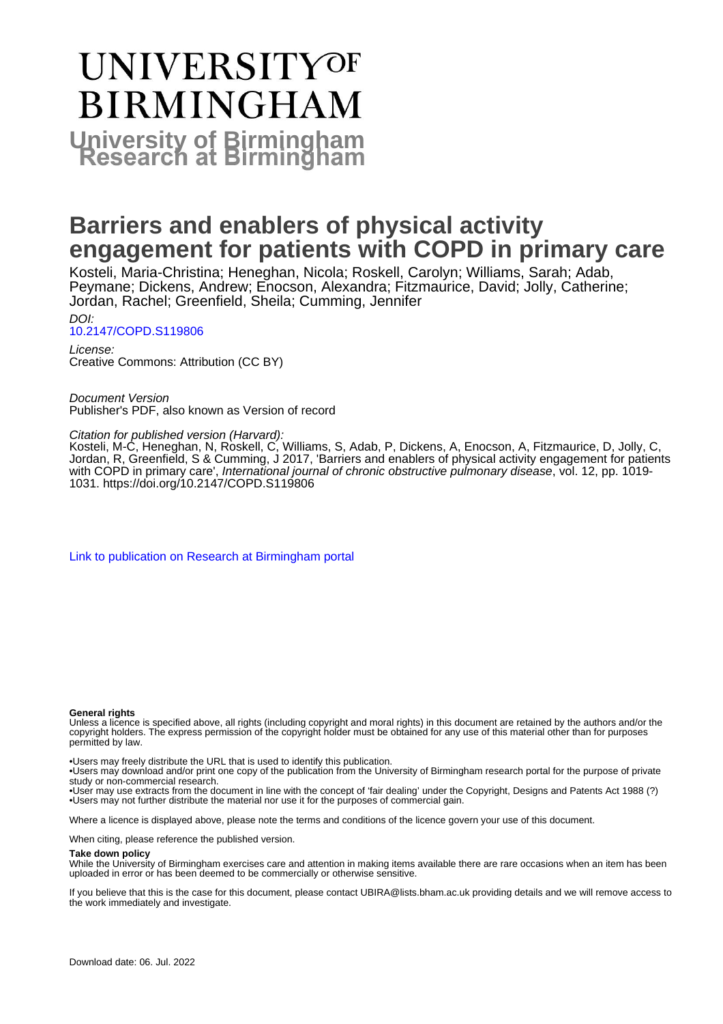# UNIVERSITYOF **BIRMINGHAM University of Birmingham**

## **Barriers and enablers of physical activity engagement for patients with COPD in primary care**

Kosteli, Maria-Christina; Heneghan, Nicola; Roskell, Carolyn; Williams, Sarah; Adab, Peymane; Dickens, Andrew; Enocson, Alexandra; Fitzmaurice, David; Jolly, Catherine; Jordan, Rachel; Greenfield, Sheila; Cumming, Jennifer

#### DOI: [10.2147/COPD.S119806](https://doi.org/10.2147/COPD.S119806)

License: Creative Commons: Attribution (CC BY)

Document Version Publisher's PDF, also known as Version of record

#### Citation for published version (Harvard):

Kosteli, M-C, Heneghan, N, Roskell, C, Williams, S, Adab, P, Dickens, A, Enocson, A, Fitzmaurice, D, Jolly, C, Jordan, R, Greenfield, S & Cumming, J 2017, 'Barriers and enablers of physical activity engagement for patients with COPD in primary care', International journal of chronic obstructive pulmonary disease, vol. 12, pp. 1019-1031. <https://doi.org/10.2147/COPD.S119806>

[Link to publication on Research at Birmingham portal](https://birmingham.elsevierpure.com/en/publications/368e751e-415d-4f04-acd6-73245a3a9ec2)

#### **General rights**

Unless a licence is specified above, all rights (including copyright and moral rights) in this document are retained by the authors and/or the copyright holders. The express permission of the copyright holder must be obtained for any use of this material other than for purposes permitted by law.

• Users may freely distribute the URL that is used to identify this publication.

• Users may download and/or print one copy of the publication from the University of Birmingham research portal for the purpose of private study or non-commercial research.

• User may use extracts from the document in line with the concept of 'fair dealing' under the Copyright, Designs and Patents Act 1988 (?) • Users may not further distribute the material nor use it for the purposes of commercial gain.

Where a licence is displayed above, please note the terms and conditions of the licence govern your use of this document.

When citing, please reference the published version.

#### **Take down policy**

While the University of Birmingham exercises care and attention in making items available there are rare occasions when an item has been uploaded in error or has been deemed to be commercially or otherwise sensitive.

If you believe that this is the case for this document, please contact UBIRA@lists.bham.ac.uk providing details and we will remove access to the work immediately and investigate.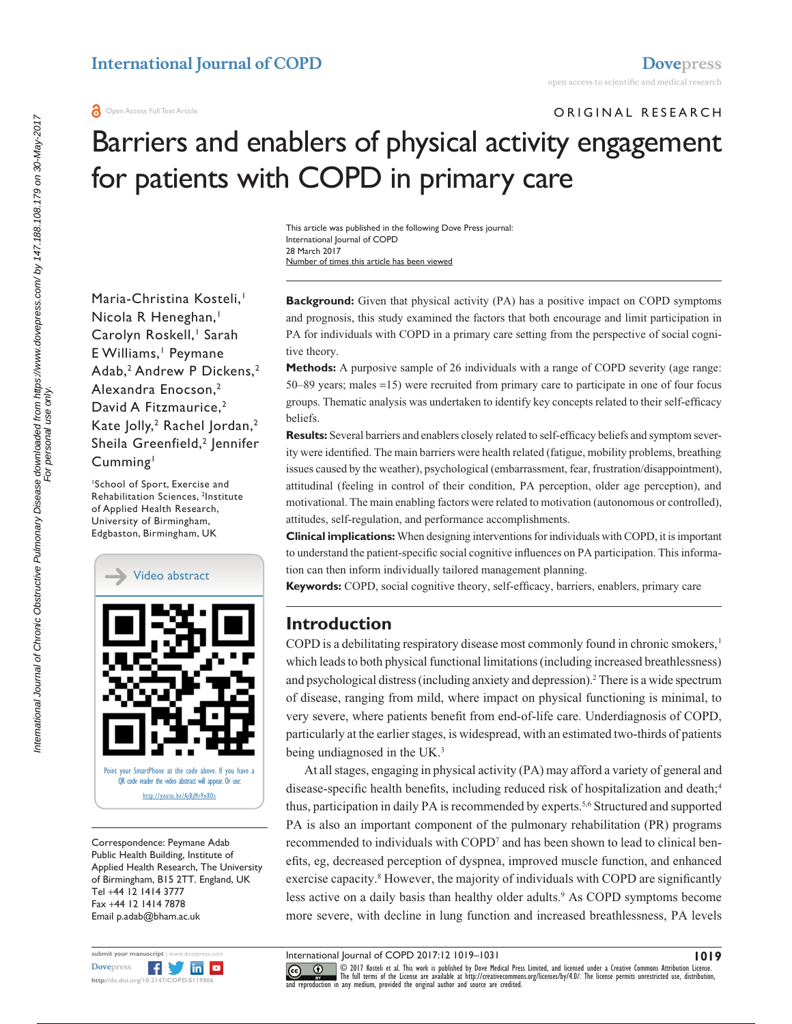ORIGINAL RESEARCH

## Barriers and enablers of physical activity engagement for patients with COPD in primary care

Number of times this article has been viewed This article was published in the following Dove Press journal: International Journal of COPD 28 March 2017

Maria-Christina Kosteli,<sup>1</sup> Nicola R Heneghan,<sup>1</sup> Carolyn Roskell,<sup>1</sup> Sarah E Williams,1 Peymane Adab,<sup>2</sup> Andrew P Dickens,<sup>2</sup> Alexandra Enocson,2 David A Fitzmaurice.<sup>2</sup> Kate Jolly,<sup>2</sup> Rachel Jordan,<sup>2</sup> Sheila Greenfield,2 Jennifer Cumming1

1 School of Sport, Exercise and Rehabilitation Sciences, <sup>2</sup>Institute of Applied Health Research, University of Birmingham, Edgbaston, Birmingham, UK



Correspondence: Peymane Adab Public Health Building, Institute of Applied Health Research, The University of Birmingham, B15 2TT. England, UK Tel +44 12 1414 3777 Fax +44 12 1414 7878 Email [p.adab@bham.ac.uk](mailto:p.adab@bham.ac.uk)



**Background:** Given that physical activity (PA) has a positive impact on COPD symptoms and prognosis, this study examined the factors that both encourage and limit participation in PA for individuals with COPD in a primary care setting from the perspective of social cognitive theory.

**Methods:** A purposive sample of 26 individuals with a range of COPD severity (age range: 50–89 years; males =15) were recruited from primary care to participate in one of four focus groups. Thematic analysis was undertaken to identify key concepts related to their self-efficacy beliefs.

**Results:** Several barriers and enablers closely related to self-efficacy beliefs and symptom severity were identified. The main barriers were health related (fatigue, mobility problems, breathing issues caused by the weather), psychological (embarrassment, fear, frustration/disappointment), attitudinal (feeling in control of their condition, PA perception, older age perception), and motivational. The main enabling factors were related to motivation (autonomous or controlled), attitudes, self-regulation, and performance accomplishments.

**Clinical implications:** When designing interventions for individuals with COPD, it is important to understand the patient-specific social cognitive influences on PA participation. This information can then inform individually tailored management planning.

**Keywords:** COPD, social cognitive theory, self-efficacy, barriers, enablers, primary care

## **Introduction**

COPD is a debilitating respiratory disease most commonly found in chronic smokers,<sup>1</sup> which leads to both physical functional limitations (including increased breathlessness) and psychological distress (including anxiety and depression).2 There is a wide spectrum of disease, ranging from mild, where impact on physical functioning is minimal, to very severe, where patients benefit from end-of-life care. Underdiagnosis of COPD, particularly at the earlier stages, is widespread, with an estimated two-thirds of patients being undiagnosed in the UK.<sup>3</sup>

At all stages, engaging in physical activity (PA) may afford a variety of general and disease-specific health benefits, including reduced risk of hospitalization and death;<sup>4</sup> thus, participation in daily PA is recommended by experts.5,6 Structured and supported PA is also an important component of the pulmonary rehabilitation (PR) programs recommended to individuals with COPD<sup>7</sup> and has been shown to lead to clinical benefits, eg, decreased perception of dyspnea, improved muscle function, and enhanced exercise capacity.<sup>8</sup> However, the majority of individuals with COPD are significantly less active on a daily basis than healthy older adults.<sup>9</sup> As COPD symptoms become more severe, with decline in lung function and increased breathlessness, PA levels

International Journal of COPD 2017:12 1019–1031

© 2017 Kosteli et al. This work is published by Dove Medical Press Limited, and licensed under a Creative Commons Attribution License.<br>The full terms of the License are available at http://creativecommons.org/licenses/by/4  $\odot$ and [reproduction in](http://www.dovepress.com/permissions.php) any medium, provided the original author and source are credited.

**1019**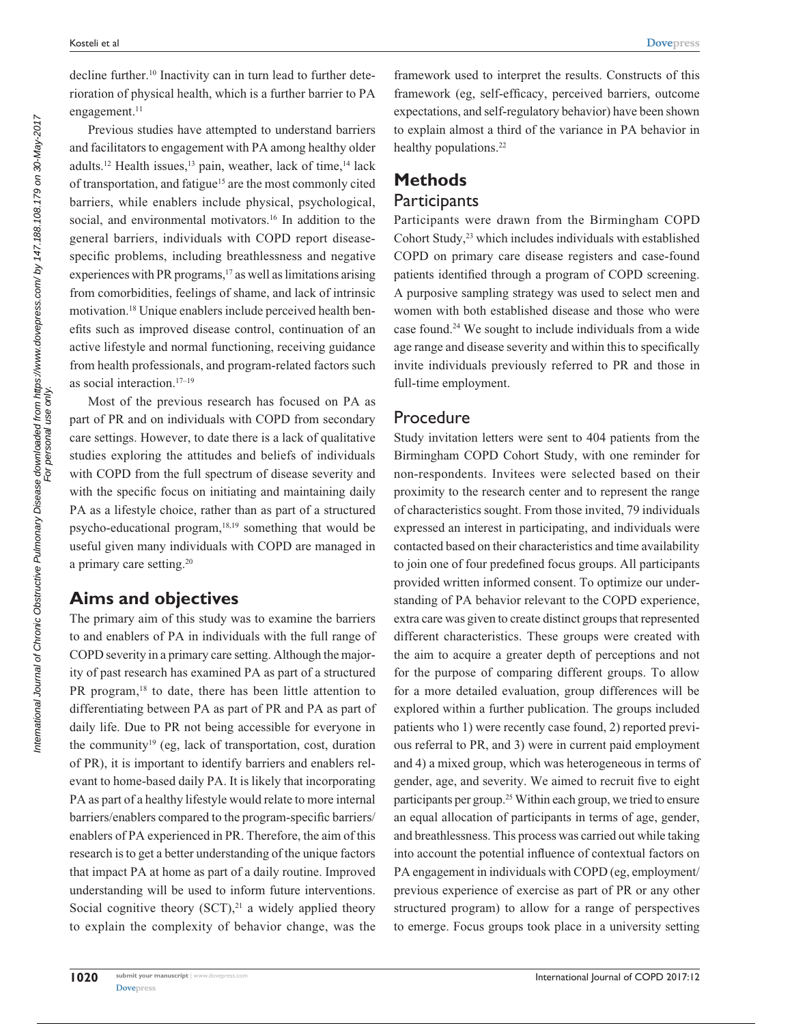decline further.<sup>10</sup> Inactivity can in turn lead to further deterioration of physical health, which is a further barrier to PA engagement.<sup>11</sup>

Previous studies have attempted to understand barriers and facilitators to engagement with PA among healthy older adults.<sup>12</sup> Health issues,<sup>13</sup> pain, weather, lack of time,<sup>14</sup> lack of transportation, and fatigue<sup>15</sup> are the most commonly cited barriers, while enablers include physical, psychological, social, and environmental motivators.<sup>16</sup> In addition to the general barriers, individuals with COPD report diseasespecific problems, including breathlessness and negative experiences with PR programs,<sup>17</sup> as well as limitations arising from comorbidities, feelings of shame, and lack of intrinsic motivation.18 Unique enablers include perceived health benefits such as improved disease control, continuation of an active lifestyle and normal functioning, receiving guidance from health professionals, and program-related factors such as social interaction.17–19

Most of the previous research has focused on PA as part of PR and on individuals with COPD from secondary care settings. However, to date there is a lack of qualitative studies exploring the attitudes and beliefs of individuals with COPD from the full spectrum of disease severity and with the specific focus on initiating and maintaining daily PA as a lifestyle choice, rather than as part of a structured psycho-educational program,18,19 something that would be useful given many individuals with COPD are managed in a primary care setting.20

## **Aims and objectives**

The primary aim of this study was to examine the barriers to and enablers of PA in individuals with the full range of COPD severity in a primary care setting. Although the majority of past research has examined PA as part of a structured PR program,<sup>18</sup> to date, there has been little attention to differentiating between PA as part of PR and PA as part of daily life. Due to PR not being accessible for everyone in the community<sup>19</sup> (eg, lack of transportation, cost, duration of PR), it is important to identify barriers and enablers relevant to home-based daily PA. It is likely that incorporating PA as part of a healthy lifestyle would relate to more internal barriers/enablers compared to the program-specific barriers/ enablers of PA experienced in PR. Therefore, the aim of this research is to get a better understanding of the unique factors that impact PA at home as part of a daily routine. Improved understanding will be used to inform future interventions. Social cognitive theory  $(SCT)$ ,<sup>21</sup> a widely applied theory to explain the complexity of behavior change, was the

framework used to interpret the results. Constructs of this framework (eg, self-efficacy, perceived barriers, outcome expectations, and self-regulatory behavior) have been shown to explain almost a third of the variance in PA behavior in healthy populations.<sup>22</sup>

## **Methods Participants**

Participants were drawn from the Birmingham COPD Cohort Study,23 which includes individuals with established COPD on primary care disease registers and case-found patients identified through a program of COPD screening. A purposive sampling strategy was used to select men and women with both established disease and those who were case found.24 We sought to include individuals from a wide age range and disease severity and within this to specifically invite individuals previously referred to PR and those in full-time employment.

## Procedure

Study invitation letters were sent to 404 patients from the Birmingham COPD Cohort Study, with one reminder for non-respondents. Invitees were selected based on their proximity to the research center and to represent the range of characteristics sought. From those invited, 79 individuals expressed an interest in participating, and individuals were contacted based on their characteristics and time availability to join one of four predefined focus groups. All participants provided written informed consent. To optimize our understanding of PA behavior relevant to the COPD experience, extra care was given to create distinct groups that represented different characteristics. These groups were created with the aim to acquire a greater depth of perceptions and not for the purpose of comparing different groups. To allow for a more detailed evaluation, group differences will be explored within a further publication. The groups included patients who 1) were recently case found, 2) reported previous referral to PR, and 3) were in current paid employment and 4) a mixed group, which was heterogeneous in terms of gender, age, and severity. We aimed to recruit five to eight participants per group.<sup>25</sup> Within each group, we tried to ensure an equal allocation of participants in terms of age, gender, and breathlessness. This process was carried out while taking into account the potential influence of contextual factors on PA engagement in individuals with COPD (eg, employment/ previous experience of exercise as part of PR or any other structured program) to allow for a range of perspectives to emerge. Focus groups took place in a university setting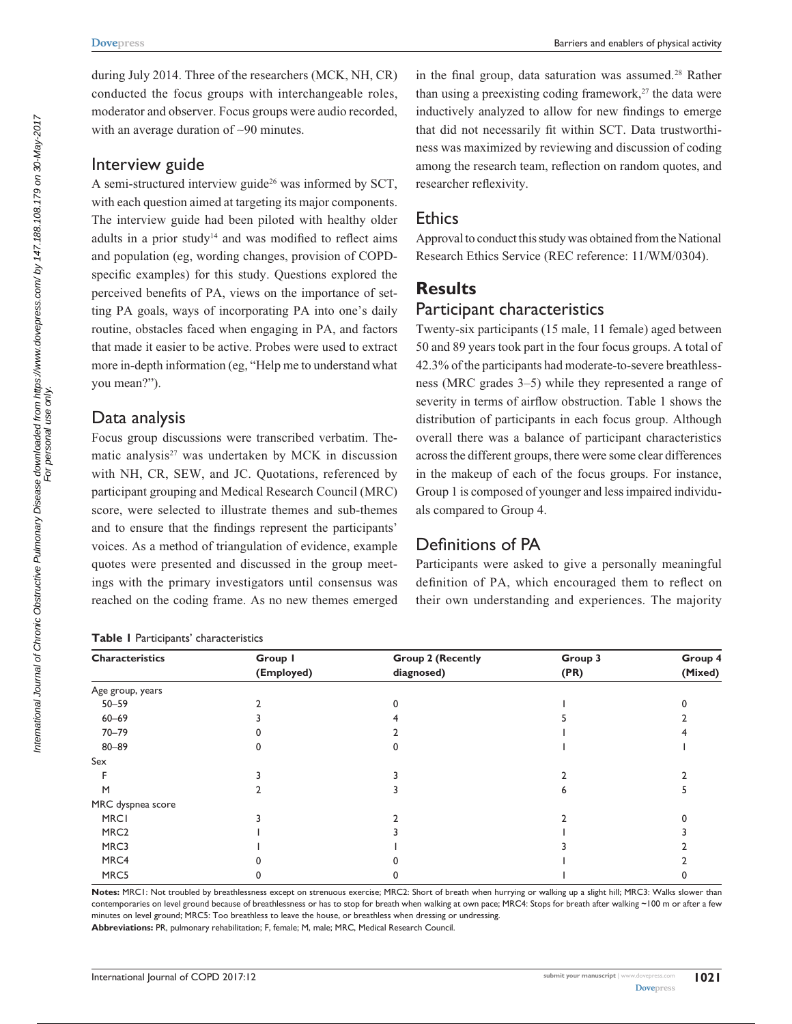during July 2014. Three of the researchers (MCK, NH, CR) conducted the focus groups with interchangeable roles, moderator and observer. Focus groups were audio recorded, with an average duration of ~90 minutes.

#### Interview guide

A semi-structured interview guide<sup>26</sup> was informed by SCT, with each question aimed at targeting its major components. The interview guide had been piloted with healthy older adults in a prior study<sup>14</sup> and was modified to reflect aims and population (eg, wording changes, provision of COPDspecific examples) for this study. Questions explored the perceived benefits of PA, views on the importance of setting PA goals, ways of incorporating PA into one's daily routine, obstacles faced when engaging in PA, and factors that made it easier to be active. Probes were used to extract more in-depth information (eg, "Help me to understand what you mean?").

## Data analysis

Focus group discussions were transcribed verbatim. Thematic analysis $27$  was undertaken by MCK in discussion with NH, CR, SEW, and JC. Quotations, referenced by participant grouping and Medical Research Council (MRC) score, were selected to illustrate themes and sub-themes and to ensure that the findings represent the participants' voices. As a method of triangulation of evidence, example quotes were presented and discussed in the group meetings with the primary investigators until consensus was reached on the coding frame. As no new themes emerged

#### **Table 1** Participants' characteristics

in the final group, data saturation was assumed.<sup>28</sup> Rather than using a preexisting coding framework, $2<sup>7</sup>$  the data were inductively analyzed to allow for new findings to emerge that did not necessarily fit within SCT. Data trustworthiness was maximized by reviewing and discussion of coding among the research team, reflection on random quotes, and researcher reflexivity.

## **Ethics**

Approval to conduct this study was obtained from the National Research Ethics Service (REC reference: 11/WM/0304).

## **Results**

## Participant characteristics

Twenty-six participants (15 male, 11 female) aged between 50 and 89 years took part in the four focus groups. A total of 42.3% of the participants had moderate-to-severe breathlessness (MRC grades 3–5) while they represented a range of severity in terms of airflow obstruction. Table 1 shows the distribution of participants in each focus group. Although overall there was a balance of participant characteristics across the different groups, there were some clear differences in the makeup of each of the focus groups. For instance, Group 1 is composed of younger and less impaired individuals compared to Group 4.

## Definitions of PA

Participants were asked to give a personally meaningful definition of PA, which encouraged them to reflect on their own understanding and experiences. The majority

| Characteristics   | Group I    | <b>Group 2 (Recently</b> | Group 3 | Group 4 |
|-------------------|------------|--------------------------|---------|---------|
|                   | (Employed) | diagnosed)               | (PR)    | (Mixed) |
| Age group, years  |            |                          |         |         |
| $50 - 59$         |            |                          |         |         |
| $60 - 69$         |            |                          |         |         |
| $70 - 79$         |            |                          |         |         |
| $80 - 89$         |            |                          |         |         |
| Sex               |            |                          |         |         |
|                   |            |                          |         |         |
| M                 |            |                          |         |         |
| MRC dyspnea score |            |                          |         |         |
| <b>MRCI</b>       |            |                          |         |         |
| MRC <sub>2</sub>  |            |                          |         |         |
| MRC3              |            |                          |         |         |
| MRC4              |            |                          |         |         |
| MRC5              |            |                          |         |         |

**Notes:** MRC1: Not troubled by breathlessness except on strenuous exercise; MRC2: Short of breath when hurrying or walking up a slight hill; MRC3: Walks slower than contemporaries on level ground because of breathlessness or has to stop for breath when walking at own pace; MRC4: Stops for breath after walking ~100 m or after a few minutes on level ground; MRC5: Too breathless to leave the house, or breathless when dressing or undressing. **Abbreviations:** PR, pulmonary rehabilitation; F, female; M, male; MRC, Medical Research Council.

International Journal of Chronic Obstructive Pulmonary Disease downloaded from https://www.dovepress.com/ by 147.188.108.179 on 30-May-2017<br>For personal use only International Journal of Chronic Obstructive Pulmonary Disease downloaded from https://www.dovepress.com/ by 147.188.108.179 on 30-May-2017 For personal use only.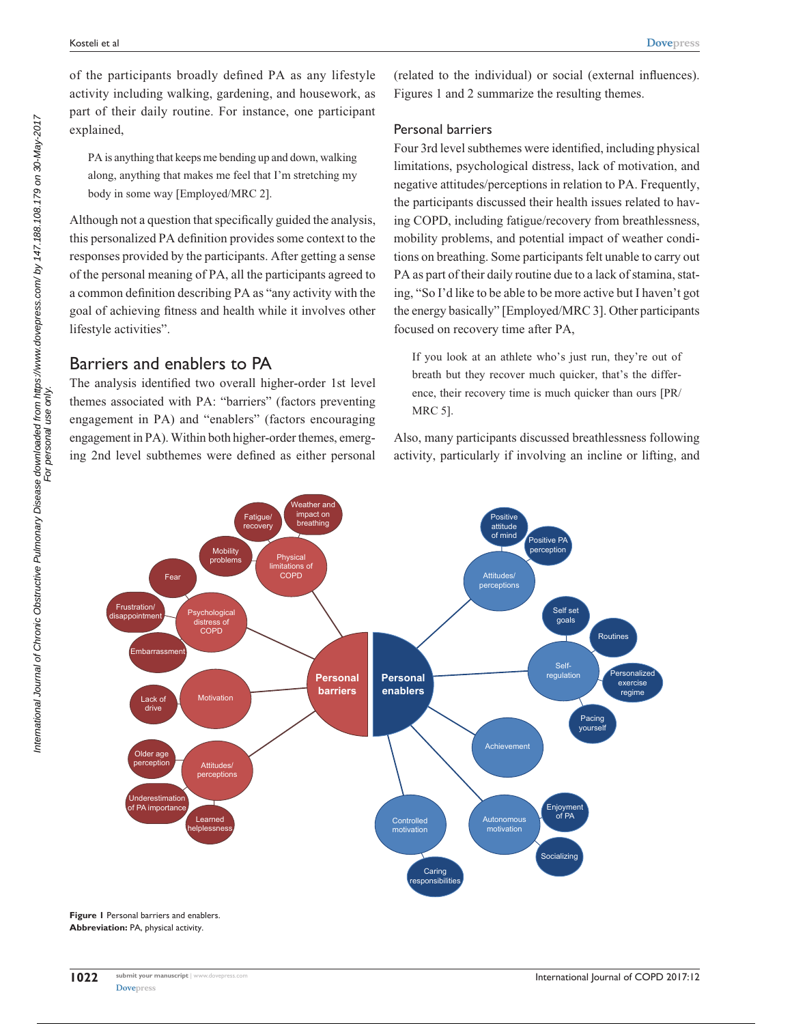International Journal of Chronic Obstructive Pulmonary Disease downloaded from https://www.dovepress.com/ by 147.188.108.108 179 on 30-May-2017<br>For personal use only International Journal of Chronic Obstructive Pulmonary Disease downloaded from https://www.dovepress.com/ by 147.188.108.179 on 30-May-2017 For personal use only. of the participants broadly defined PA as any lifestyle activity including walking, gardening, and housework, as part of their daily routine. For instance, one participant explained,

PA is anything that keeps me bending up and down, walking along, anything that makes me feel that I'm stretching my body in some way [Employed/MRC 2].

Although not a question that specifically guided the analysis, this personalized PA definition provides some context to the responses provided by the participants. After getting a sense of the personal meaning of PA, all the participants agreed to a common definition describing PA as "any activity with the goal of achieving fitness and health while it involves other lifestyle activities".

## Barriers and enablers to PA

The analysis identified two overall higher-order 1st level themes associated with PA: "barriers" (factors preventing engagement in PA) and "enablers" (factors encouraging engagement in PA). Within both higher-order themes, emerging 2nd level subthemes were defined as either personal (related to the individual) or social (external influences). Figures 1 and 2 summarize the resulting themes.

#### Personal barriers

Four 3rd level subthemes were identified, including physical limitations, psychological distress, lack of motivation, and negative attitudes/perceptions in relation to PA. Frequently, the participants discussed their health issues related to having COPD, including fatigue/recovery from breathlessness, mobility problems, and potential impact of weather conditions on breathing. Some participants felt unable to carry out PA as part of their daily routine due to a lack of stamina, stating, "So I'd like to be able to be more active but I haven't got the energy basically" [Employed/MRC 3]. Other participants focused on recovery time after PA,

If you look at an athlete who's just run, they're out of breath but they recover much quicker, that's the difference, their recovery time is much quicker than ours [PR/ MRC 5].

Also, many participants discussed breathlessness following activity, particularly if involving an incline or lifting, and



**Figure 1** Personal barriers and enablers. **Abbreviation:** PA, physical activity.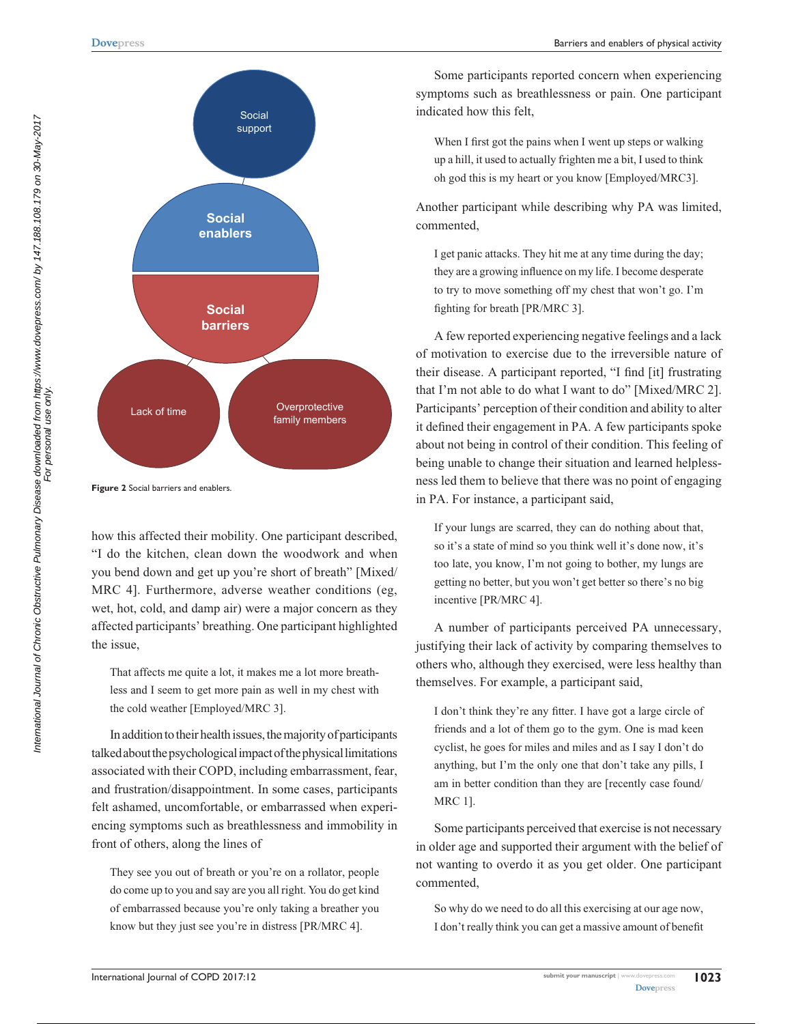



**Figure 2** Social barriers and enablers.

how this affected their mobility. One participant described, "I do the kitchen, clean down the woodwork and when you bend down and get up you're short of breath" [Mixed/ MRC 4]. Furthermore, adverse weather conditions (eg, wet, hot, cold, and damp air) were a major concern as they affected participants' breathing. One participant highlighted the issue,

That affects me quite a lot, it makes me a lot more breathless and I seem to get more pain as well in my chest with the cold weather [Employed/MRC 3].

In addition to their health issues, the majority of participants talked about the psychological impact of the physical limitations associated with their COPD, including embarrassment, fear, and frustration/disappointment. In some cases, participants felt ashamed, uncomfortable, or embarrassed when experiencing symptoms such as breathlessness and immobility in front of others, along the lines of

They see you out of breath or you're on a rollator, people do come up to you and say are you all right. You do get kind of embarrassed because you're only taking a breather you know but they just see you're in distress [PR/MRC 4].

Some participants reported concern when experiencing symptoms such as breathlessness or pain. One participant indicated how this felt,

When I first got the pains when I went up steps or walking up a hill, it used to actually frighten me a bit, I used to think oh god this is my heart or you know [Employed/MRC3].

Another participant while describing why PA was limited, commented,

I get panic attacks. They hit me at any time during the day; they are a growing influence on my life. I become desperate to try to move something off my chest that won't go. I'm fighting for breath [PR/MRC 3].

A few reported experiencing negative feelings and a lack of motivation to exercise due to the irreversible nature of their disease. A participant reported, "I find [it] frustrating that I'm not able to do what I want to do" [Mixed/MRC 2]. Participants' perception of their condition and ability to alter it defined their engagement in PA. A few participants spoke about not being in control of their condition. This feeling of being unable to change their situation and learned helplessness led them to believe that there was no point of engaging in PA. For instance, a participant said,

If your lungs are scarred, they can do nothing about that, so it's a state of mind so you think well it's done now, it's too late, you know, I'm not going to bother, my lungs are getting no better, but you won't get better so there's no big incentive [PR/MRC 4].

A number of participants perceived PA unnecessary, justifying their lack of activity by comparing themselves to others who, although they exercised, were less healthy than themselves. For example, a participant said,

I don't think they're any fitter. I have got a large circle of friends and a lot of them go to the gym. One is mad keen cyclist, he goes for miles and miles and as I say I don't do anything, but I'm the only one that don't take any pills, I am in better condition than they are [recently case found/ MRC 1].

Some participants perceived that exercise is not necessary in older age and supported their argument with the belief of not wanting to overdo it as you get older. One participant commented,

So why do we need to do all this exercising at our age now, I don't really think you can get a massive amount of benefit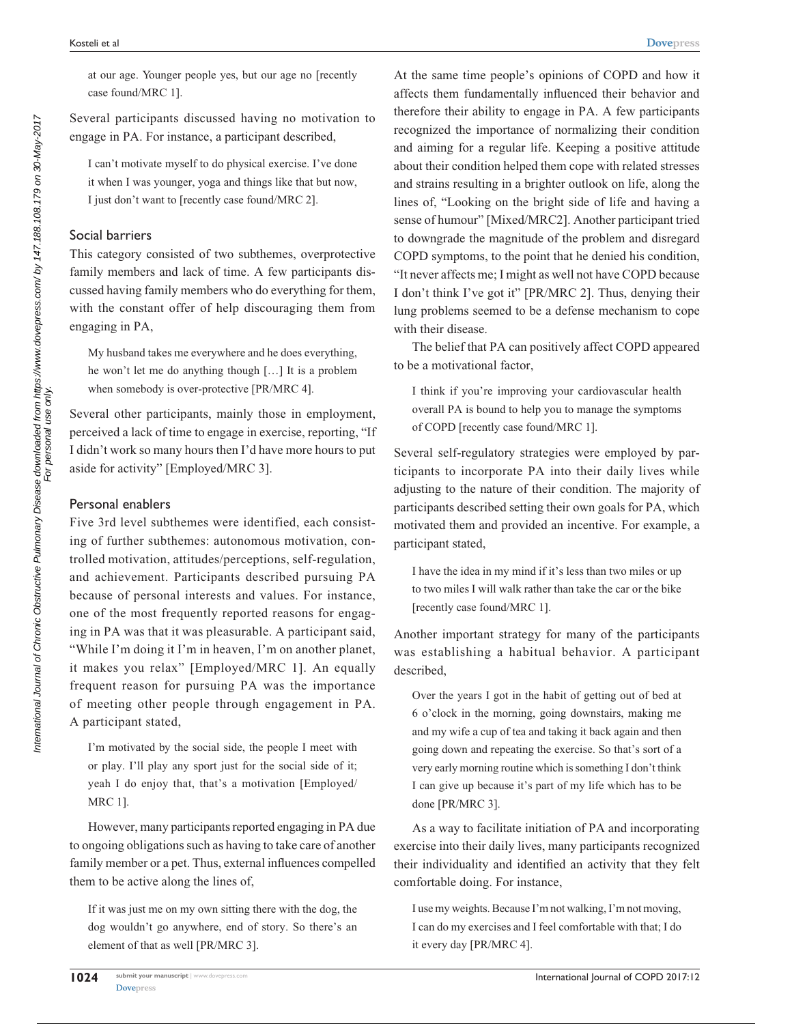at our age. Younger people yes, but our age no [recently case found/MRC 1].

Several participants discussed having no motivation to engage in PA. For instance, a participant described,

I can't motivate myself to do physical exercise. I've done it when I was younger, yoga and things like that but now, I just don't want to [recently case found/MRC 2].

#### Social barriers

This category consisted of two subthemes, overprotective family members and lack of time. A few participants discussed having family members who do everything for them, with the constant offer of help discouraging them from engaging in PA,

My husband takes me everywhere and he does everything, he won't let me do anything though […] It is a problem when somebody is over-protective [PR/MRC 4].

Several other participants, mainly those in employment, perceived a lack of time to engage in exercise, reporting, "If I didn't work so many hours then I'd have more hours to put aside for activity" [Employed/MRC 3].

#### Personal enablers

Five 3rd level subthemes were identified, each consisting of further subthemes: autonomous motivation, controlled motivation, attitudes/perceptions, self-regulation, and achievement. Participants described pursuing PA because of personal interests and values. For instance, one of the most frequently reported reasons for engaging in PA was that it was pleasurable. A participant said, "While I'm doing it I'm in heaven, I'm on another planet, it makes you relax" [Employed/MRC 1]. An equally frequent reason for pursuing PA was the importance of meeting other people through engagement in PA. A participant stated,

I'm motivated by the social side, the people I meet with or play. I'll play any sport just for the social side of it; yeah I do enjoy that, that's a motivation [Employed/ MRC 1].

However, many participants reported engaging in PA due to ongoing obligations such as having to take care of another family member or a pet. Thus, external influences compelled them to be active along the lines of,

If it was just me on my own sitting there with the dog, the dog wouldn't go anywhere, end of story. So there's an element of that as well [PR/MRC 3].

At the same time people's opinions of COPD and how it affects them fundamentally influenced their behavior and therefore their ability to engage in PA. A few participants recognized the importance of normalizing their condition and aiming for a regular life. Keeping a positive attitude about their condition helped them cope with related stresses and strains resulting in a brighter outlook on life, along the lines of, "Looking on the bright side of life and having a sense of humour" [Mixed/MRC2]. Another participant tried to downgrade the magnitude of the problem and disregard COPD symptoms, to the point that he denied his condition, "It never affects me; I might as well not have COPD because I don't think I've got it" [PR/MRC 2]. Thus, denying their lung problems seemed to be a defense mechanism to cope with their disease.

The belief that PA can positively affect COPD appeared to be a motivational factor,

I think if you're improving your cardiovascular health overall PA is bound to help you to manage the symptoms of COPD [recently case found/MRC 1].

Several self-regulatory strategies were employed by participants to incorporate PA into their daily lives while adjusting to the nature of their condition. The majority of participants described setting their own goals for PA, which motivated them and provided an incentive. For example, a participant stated,

I have the idea in my mind if it's less than two miles or up to two miles I will walk rather than take the car or the bike [recently case found/MRC 1].

Another important strategy for many of the participants was establishing a habitual behavior. A participant described,

Over the years I got in the habit of getting out of bed at 6 o'clock in the morning, going downstairs, making me and my wife a cup of tea and taking it back again and then going down and repeating the exercise. So that's sort of a very early morning routine which is something I don't think I can give up because it's part of my life which has to be done [PR/MRC 3].

As a way to facilitate initiation of PA and incorporating exercise into their daily lives, many participants recognized their individuality and identified an activity that they felt comfortable doing. For instance,

I use my weights. Because I'm not walking, I'm not moving, I can do my exercises and I feel comfortable with that; I do it every day [PR/MRC 4].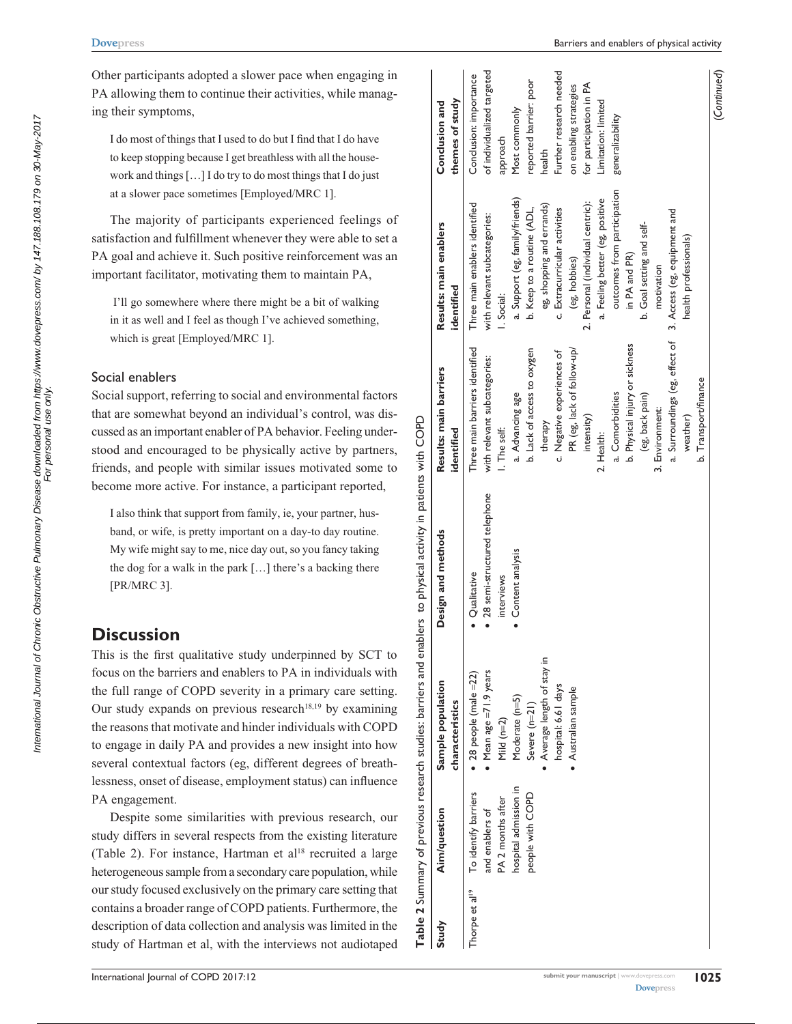Other participants adopted a slower pace when engaging in PA allowing them to continue their activities, while managing their symptoms,

I do most of things that I used to do but I find that I do have to keep stopping because I get breathless with all the housework and things […] I do try to do most things that I do just at a slower pace sometimes [Employed/MRC 1].

The majority of participants experienced feelings of satisfaction and fulfillment whenever they were able to set a PA goal and achieve it. Such positive reinforcement was an important facilitator, motivating them to maintain PA,

 I'll go somewhere where there might be a bit of walking in it as well and I feel as though I've achieved something, which is great [Employed/MRC 1].

#### Social enablers

Social support, referring to social and environmental factors that are somewhat beyond an individual's control, was discussed as an important enabler of PA behavior. Feeling understood and encouraged to be physically active by partners, friends, and people with similar issues motivated some to become more active. For instance, a participant reported,

I also think that support from family, ie, your partner, husband, or wife, is pretty important on a day-to day routine. My wife might say to me, nice day out, so you fancy taking the dog for a walk in the park […] there's a backing there [PR/MRC 3].

## **Discussion**

This is the first qualitative study underpinned by SCT to focus on the barriers and enablers to PA in individuals with the full range of COPD severity in a primary care setting. Our study expands on previous research<sup>18,19</sup> by examining the reasons that motivate and hinder individuals with COPD to engage in daily PA and provides a new insight into how several contextual factors (eg, different degrees of breathlessness, onset of disease, employment status) can influence PA engagement.

Despite some similarities with previous research, our study differs in several respects from the existing literature (Table 2). For instance, Hartman et al<sup>18</sup> recruited a large heterogeneous sample from a secondary care population, while our study focused exclusively on the primary care setting that contains a broader range of COPD patients. Furthermore, the description of data collection and analysis was limited in the study of Hartman et al, with the interviews not audiotaped

| Study                     | Aim/question          | Sample population<br>characteristics | Design and methods           | Results: main barriers<br>identified | Results: main enablers<br>identified                        | themes of study<br>Conclusion and |
|---------------------------|-----------------------|--------------------------------------|------------------------------|--------------------------------------|-------------------------------------------------------------|-----------------------------------|
| horpe et al <sup>19</sup> | To identify barriers  | $\bullet$ 28 people (male = 22)      | Qualitative                  | Three main barriers identified       | Three main enablers identified                              | Conclusion: importance            |
|                           | and enablers of       | $\bullet$ Mean age =71.9 years       | 28 semi-structured telephone | with relevant subcategories:         | with relevant subcategories:                                | of individualized targeted        |
|                           | PA 2 months after     | Mild $(n=2)$                         | interviews                   | I. The self:                         | I. Social:                                                  | approach                          |
|                           | hospital admission in | Moderate (n=5)                       | Content analysis             | a. Advancing age                     | a. Support (eg, family/friends)                             | Most commonly                     |
|                           | people with COPD      | Severe (n=21)                        |                              | b. Lack of access to oxygen          | b. Keep to a routine (ADL,                                  | reported barrier: poor            |
|                           |                       | • Average length of stay in          |                              | therapy                              | eg, shopping and errands)                                   | health                            |
|                           |                       | hospital: 6.61 days                  |                              | c. Negative experiences of           | c. Extracurricular activities                               | Further research needed           |
|                           |                       | · Australian sample                  |                              | PR (eg, lack of follow-up/           | (eg, hobbies)                                               | on enabling strategies            |
|                           |                       |                                      |                              | intensity)                           | 2. Personal (individual centric):                           | for participation in PA           |
|                           |                       |                                      |                              | 2. Health:                           | a. Feeling better (eg, positive                             | Limitation: limited               |
|                           |                       |                                      |                              | a. Comorbidities                     | outcomes from participation                                 | generalizability                  |
|                           |                       |                                      |                              | b. Physical injury or sickness       | in PA and PR)                                               |                                   |
|                           |                       |                                      |                              | (eg, back pain)                      | b. Goal setting and self-                                   |                                   |
|                           |                       |                                      |                              | 3. Environment:                      | motivation                                                  |                                   |
|                           |                       |                                      |                              |                                      | a. Surroundings (eg, effect of 3. Access (eg, equipment and |                                   |
|                           |                       |                                      |                              | weather)                             | health professionals)                                       |                                   |
|                           |                       |                                      |                              | b. Transport/finance                 |                                                             |                                   |

**[Dovepress](www.dovepress.com)**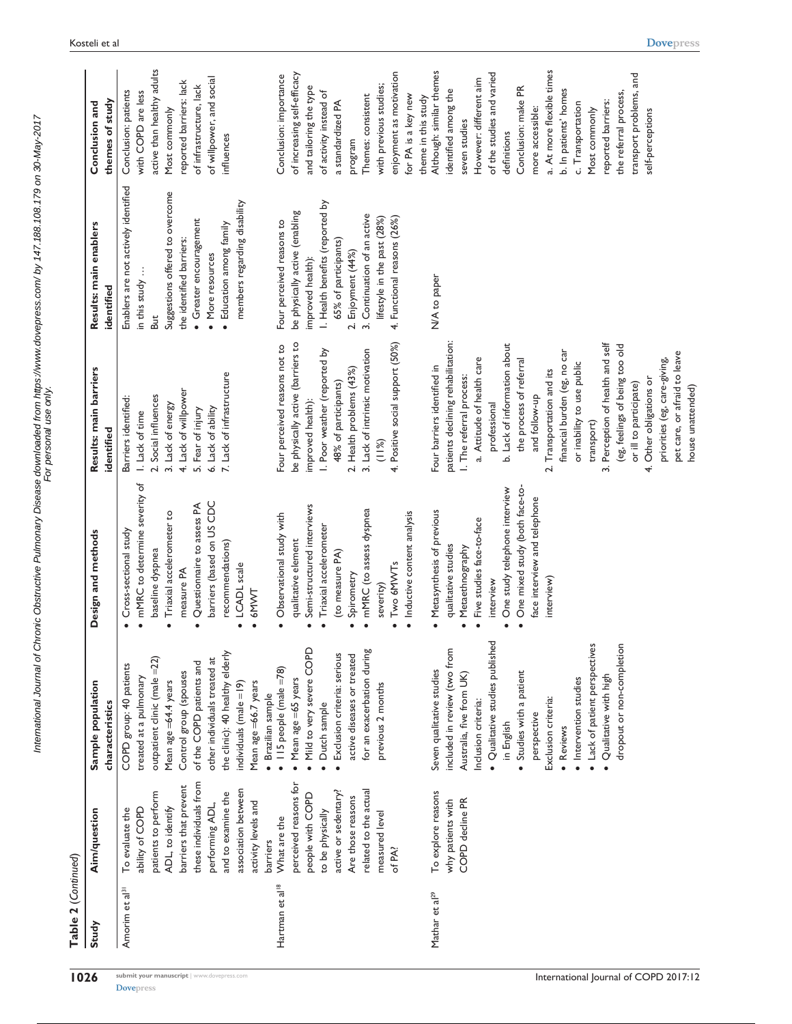| l<br>。<br>。<br>֚֚֚֬<br>ļ<br>j<br>Í<br><b>ַ</b><br>ד<br>Ì<br>j<br>Í<br>I<br>i<br>ī<br><b>Intern</b> |
|----------------------------------------------------------------------------------------------------|
|----------------------------------------------------------------------------------------------------|

| Study                       | Aim/question                            | Sample population<br>characteristics        | Design and methods                                                | Results: main barriers<br>identified                               | Results: main enablers<br>identified                        | themes of study<br>Conclusion and                |
|-----------------------------|-----------------------------------------|---------------------------------------------|-------------------------------------------------------------------|--------------------------------------------------------------------|-------------------------------------------------------------|--------------------------------------------------|
| Amorim et al <sup>31</sup>  | To evaluate the                         | COPD group: 40 patients                     | Cross-sectional study<br>$\bullet$                                | Barriers identified:                                               | Enablers are not actively identified                        | Conclusion: patients                             |
|                             | ability of COPD                         | treated at a pulmonary                      | · mMRC to determine severity of                                   | I. Lack of time                                                    | in this study                                               | with COPD are less                               |
|                             | patients to perform                     | outpatient clinic (male =22)                | baseline dyspnea                                                  | 2. Social influences                                               | But                                                         | active than healthy adults                       |
|                             | ADL, to identify                        | Mean age =64.4 years                        | Triaxial accelerometer to                                         | 3. Lack of energy                                                  | Suggestions offered to overcome                             | Most commonly                                    |
|                             | barriers that prevent                   | Control group (spouses                      | measure PA                                                        | 4. Lack of willpower                                               | the identified barriers:                                    | reported barriers: lack                          |
|                             | these individuals from                  | of the COPD patients and                    | Questionnaire to assess PA                                        | 5. Fear of injury                                                  | Greater encouragement                                       | of infrastructure, lack                          |
|                             | performing ADL,                         | other individuals treated at                | barriers (based on US CDC                                         | 6. Lack of ability                                                 | More resources                                              | of willpower, and social                         |
|                             | and to examine the                      | the clinic): 40 healthy elderly             | recommendations)                                                  | 7. Lack of infrastructure                                          | Education among family<br>$\bullet$                         | influences                                       |
|                             | association between                     | individuals (male $=$ 19)                   | LCADL scale<br>$\bullet$                                          |                                                                    | members regarding disability                                |                                                  |
|                             | activity levels and                     | Mean age =66.7 years                        | 6MWT                                                              |                                                                    |                                                             |                                                  |
|                             | <b>barriers</b>                         | · Brazilian sample                          |                                                                   |                                                                    |                                                             |                                                  |
| Hartman et al <sup>18</sup> | perceived reasons for<br>What are the   | II5 people (male =78)<br>Mean age =65 years | Observational study with<br>qualitative element<br>$\bullet$      | be physically active (barriers to<br>Four perceived reasons not to | be physically active (enabling<br>Four perceived reasons to | Conclusion: importance                           |
|                             |                                         |                                             |                                                                   |                                                                    |                                                             | of increasing self-efficacy                      |
|                             | people with COPD<br>to be physically    | Mild to very severe COPD<br>Dutch sample    | Semi-structured interviews<br>Triaxial accelerometer<br>$\bullet$ | I. Poor weather (reported by<br>improved health):                  | I. Health benefits (reported by<br>improved health):        | and tailoring the type<br>of activity instead of |
|                             |                                         |                                             |                                                                   |                                                                    |                                                             |                                                  |
|                             | active or sedentary?                    | Exclusion criteria: serious                 | (to measure PA)                                                   | 48% of participants)                                               | 65% of participants)                                        | a standardized PA                                |
|                             | Are those reasons                       | active diseases or treated                  | Spirometry<br>$\bullet$                                           | 2. Health problems (43%)                                           | Enjoyment (44%)<br>$\overline{\mathbf{r}}$                  | program                                          |
|                             | related to the actual                   | for an exacerbation during                  | mMRC (to assess dyspnea<br>$\bullet$                              | 3. Lack of intrinsic motivation                                    | 3. Continuation of an active                                | Themes: consistent                               |
|                             | measured level                          | previous 2 months                           | severity)                                                         | (11%)                                                              | lifestyle in the past (28%)                                 | with previous studies;                           |
|                             | of PA?                                  |                                             | Two 6MWT <sub>s</sub><br>$\bullet$                                | 4. Positive social support (50%)                                   | 4. Functional reasons (26%)                                 | enjoyment as motivation                          |
|                             |                                         |                                             | · Inductive content analysis                                      |                                                                    |                                                             | for PA is a key new                              |
| Mathar et al <sup>29</sup>  |                                         | Seven qualitative studies                   | Metasynthesis of previous                                         | Four barriers identified in                                        | N/A to paper                                                | Although: similar themes<br>theme in this study  |
|                             | To explore reasons<br>why patients with | included in review (two from                | qualitative studies                                               | patients declining rehabilitation:                                 |                                                             | identified among the                             |
|                             |                                         |                                             |                                                                   |                                                                    |                                                             |                                                  |
|                             | COPD decline PR                         | Australia, five from UK)                    | Metaethnography                                                   | I. The referral process:                                           |                                                             | seven studies                                    |
|                             |                                         | Inclusion criteria:                         | Five studies face-to-face<br>$\bullet$                            | a. Attitude of health care                                         |                                                             | However: different aim                           |
|                             |                                         | · Qualitative studies published             | interview                                                         | professional                                                       |                                                             | of the studies and varied                        |
|                             |                                         | in English                                  | One study telephone interview                                     | b. Lack of information about                                       |                                                             | definitions                                      |
|                             |                                         | Studies with a patient                      | One mixed study (both face-to-                                    | the process of referral                                            |                                                             | Conclusion: make PR                              |
|                             |                                         | perspective                                 | face interview and telephone                                      | and follow-up                                                      |                                                             | more accessible:                                 |
|                             |                                         | Exclusion criteria:                         | interview)                                                        | 2. Transportation and its                                          |                                                             | a. At more flexible times                        |
|                             |                                         | · Reviews                                   |                                                                   | financial burden (eg, no car                                       |                                                             | b. In patients' homes                            |
|                             |                                         | · Intervention studies                      |                                                                   | or inability to use public                                         |                                                             | c. Transportation                                |
|                             |                                         | · Lack of patient perspectives              |                                                                   | transport)                                                         |                                                             | Most commonly                                    |
|                             |                                         | Qualitative with high                       |                                                                   | 3. Perception of health and self                                   |                                                             | reported barriers:                               |
|                             |                                         | dropout or non-completion                   |                                                                   | $\frac{d}{d}$<br>(eg, feelings of being too                        |                                                             | the referral process,                            |
|                             |                                         |                                             |                                                                   | or ill to participate)                                             |                                                             | transport problems, and                          |
|                             |                                         |                                             |                                                                   | 4. Other obligations or                                            |                                                             | self-perceptions                                 |
|                             |                                         |                                             |                                                                   | priorities (eg, care-giving,                                       |                                                             |                                                  |
|                             |                                         |                                             |                                                                   | pet care, or afraid to leave                                       |                                                             |                                                  |
|                             |                                         |                                             |                                                                   | house unattended)                                                  |                                                             |                                                  |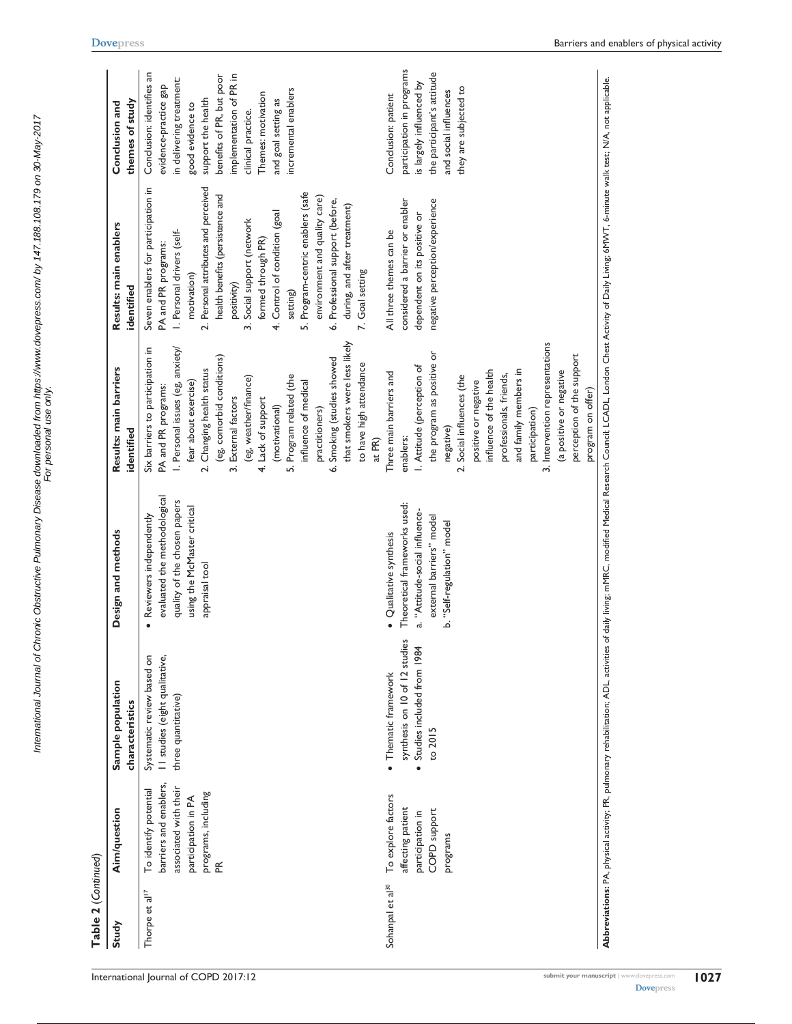| Table 2 (Continued)          |                                                                                                                                           |                                                                                                           |                                                                                                                                                       |                                                                                                                                                                                                                                                                                                                                                                                                                                                                   |                                                                                                                                                                                                                                                                                                                                                                                                                                                                  |                                                                                                                                                                                                                                                                            |
|------------------------------|-------------------------------------------------------------------------------------------------------------------------------------------|-----------------------------------------------------------------------------------------------------------|-------------------------------------------------------------------------------------------------------------------------------------------------------|-------------------------------------------------------------------------------------------------------------------------------------------------------------------------------------------------------------------------------------------------------------------------------------------------------------------------------------------------------------------------------------------------------------------------------------------------------------------|------------------------------------------------------------------------------------------------------------------------------------------------------------------------------------------------------------------------------------------------------------------------------------------------------------------------------------------------------------------------------------------------------------------------------------------------------------------|----------------------------------------------------------------------------------------------------------------------------------------------------------------------------------------------------------------------------------------------------------------------------|
| Study                        | Aim/question                                                                                                                              | Sample population<br>characteristics                                                                      | Design and methods                                                                                                                                    | Results: main barriers<br>identified                                                                                                                                                                                                                                                                                                                                                                                                                              | Results: main enablers<br>identified                                                                                                                                                                                                                                                                                                                                                                                                                             | themes of study<br>Conclusion and                                                                                                                                                                                                                                          |
| Thorpe et al <sup>17</sup>   | barriers and enablers,<br>associated with their<br>To identify potential<br>programs, including<br>participation in PA<br>$\widetilde{E}$ | II studies (eight qualitative,<br>Systematic review based on<br>three quantitative)                       | evaluated the methodological<br>quality of the chosen papers<br>using the McMaster critical<br>Reviewers independently<br>appraisal tool<br>$\bullet$ | that smokers were less likely<br>I. Personal issues (eg, anxiety/<br>Six barriers to participation in<br>(eg, comorbid conditions)<br>Smoking (studies showed<br>to have high attendance<br>Changing health status<br>5. Program related (the<br>(eg, weather/finance)<br>fear about exercise)<br>influence of medical<br>PA and PR programs:<br>External factors<br>4. Lack of support<br>(motivational)<br>practitioners)<br>at PR)<br>$\overline{a}$<br>m<br>ف | Seven enablers for participation in<br>2. Personal attributes and perceived<br>5. Program-centric enablers (safe<br>health benefits (persistence and<br>environment and quality care)<br>6. Professional support (before,<br>during, and after treatment)<br>4. Control of condition (goal<br>3. Social support (network<br>I. Personal drivers (self-<br>formed through PR)<br>PA and PR programs:<br>7. Goal setting<br>motivation)<br>positivity)<br>setting) | Conclusion: identifies an<br>benefits of PR, but poor<br>implementation of PR in<br>in delivering treatment:<br>evidence-practice gap<br>incremental enablers<br>Themes: motivation<br>support the health<br>and goal setting as<br>good evidence to<br>clinical practice. |
| Sohanpal et al <sup>30</sup> | To explore factors<br>affecting patient<br>COPD support<br>participation in<br>programs                                                   | synthesis on 10 of 12 studies<br>Studies included from 1984<br>Thematic framework<br>to 2015<br>$\bullet$ | Theoretical frameworks used:<br>a. "Attitude-social influence-<br>external barriers" model<br>b. "Self-regulation" model<br>• Qualitative synthesis   | 3. Intervention representations<br>the program as positive or<br>perception of the support<br>I. Attitude (perception of<br>and family members in<br>(a positive or negative<br>influence of the health<br>Three main barriers and<br>professionals, friends,<br>Social influences (the<br>positive or negative<br>program on offer)<br>participation)<br>negative)<br>enablers:<br>ς.                                                                            | negative perception/experience<br>considered a barrier or enabler<br>dependent on its positive or<br>All three themes can be                                                                                                                                                                                                                                                                                                                                     | participation in programs<br>the participant's attitude<br>is largely influenced by<br>they are subjected to<br>and social influences<br>Conclusion: patient                                                                                                               |
|                              |                                                                                                                                           | Abbreviations: PA, physical activity; PR, pulmonary rehabilitation; ADL, activities                       |                                                                                                                                                       |                                                                                                                                                                                                                                                                                                                                                                                                                                                                   | of daily living; mMRC, modified Medical Research Council; LCADL, London Chest Activity of Daily Living; 6MWT, 6-minute walk test; N/A, not applicable.                                                                                                                                                                                                                                                                                                           |                                                                                                                                                                                                                                                                            |

International Journal of Chronic Obstructive Pulmonary Disease downloaded from https://www.dovepress.com/ by 147.188.108.179 on 30-May-2017<br>For personal use only International Journal of Chronic Obstructive Pulmonary Disease downloaded from https://www.dovepress.com/ by 147.188.108.179 on 30-May-2017 For personal use only.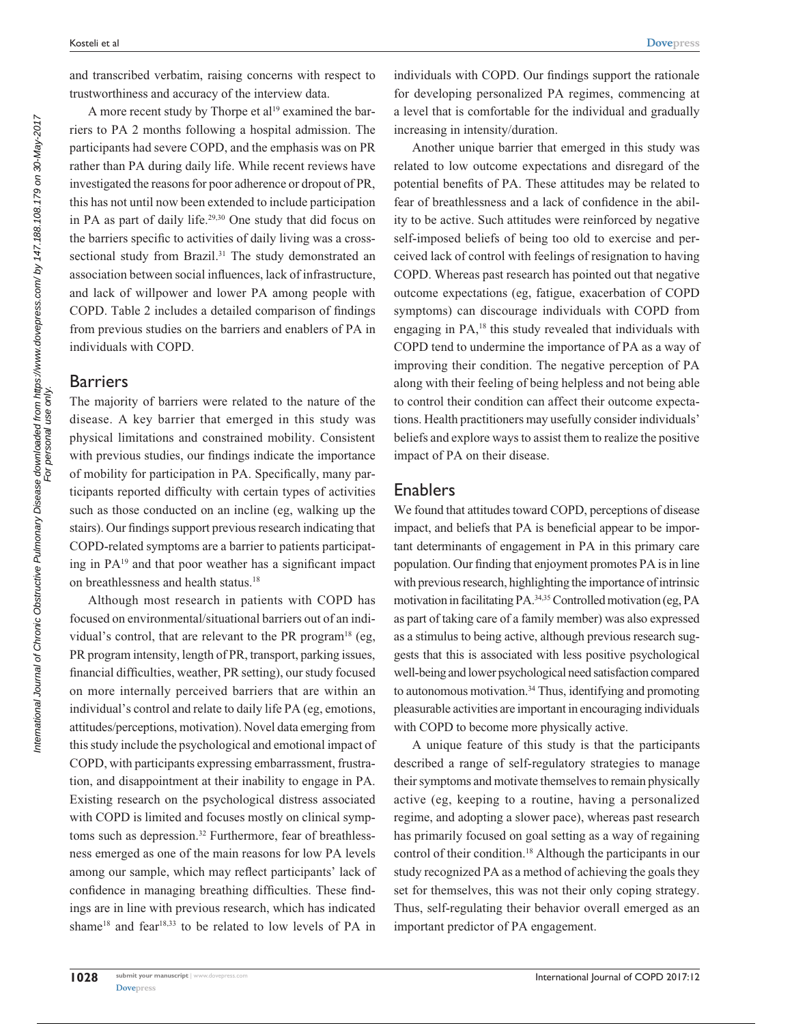and transcribed verbatim, raising concerns with respect to trustworthiness and accuracy of the interview data.

A more recent study by Thorpe et  $al<sup>19</sup>$  examined the barriers to PA 2 months following a hospital admission. The participants had severe COPD, and the emphasis was on PR rather than PA during daily life. While recent reviews have investigated the reasons for poor adherence or dropout of PR, this has not until now been extended to include participation in PA as part of daily life.<sup>29,30</sup> One study that did focus on the barriers specific to activities of daily living was a crosssectional study from Brazil.<sup>31</sup> The study demonstrated an association between social influences, lack of infrastructure, and lack of willpower and lower PA among people with COPD. Table 2 includes a detailed comparison of findings from previous studies on the barriers and enablers of PA in individuals with COPD.

#### **Barriers**

The majority of barriers were related to the nature of the disease. A key barrier that emerged in this study was physical limitations and constrained mobility. Consistent with previous studies, our findings indicate the importance of mobility for participation in PA. Specifically, many participants reported difficulty with certain types of activities such as those conducted on an incline (eg, walking up the stairs). Our findings support previous research indicating that COPD-related symptoms are a barrier to patients participating in PA19 and that poor weather has a significant impact on breathlessness and health status.18

Although most research in patients with COPD has focused on environmental/situational barriers out of an individual's control, that are relevant to the PR program<sup>18</sup> (eg, PR program intensity, length of PR, transport, parking issues, financial difficulties, weather, PR setting), our study focused on more internally perceived barriers that are within an individual's control and relate to daily life PA (eg, emotions, attitudes/perceptions, motivation). Novel data emerging from this study include the psychological and emotional impact of COPD, with participants expressing embarrassment, frustration, and disappointment at their inability to engage in PA. Existing research on the psychological distress associated with COPD is limited and focuses mostly on clinical symptoms such as depression.<sup>32</sup> Furthermore, fear of breathlessness emerged as one of the main reasons for low PA levels among our sample, which may reflect participants' lack of confidence in managing breathing difficulties. These findings are in line with previous research, which has indicated shame<sup>18</sup> and fear<sup>18,33</sup> to be related to low levels of PA in

individuals with COPD. Our findings support the rationale for developing personalized PA regimes, commencing at a level that is comfortable for the individual and gradually increasing in intensity/duration.

Another unique barrier that emerged in this study was related to low outcome expectations and disregard of the potential benefits of PA. These attitudes may be related to fear of breathlessness and a lack of confidence in the ability to be active. Such attitudes were reinforced by negative self-imposed beliefs of being too old to exercise and perceived lack of control with feelings of resignation to having COPD. Whereas past research has pointed out that negative outcome expectations (eg, fatigue, exacerbation of COPD symptoms) can discourage individuals with COPD from engaging in PA,<sup>18</sup> this study revealed that individuals with COPD tend to undermine the importance of PA as a way of improving their condition. The negative perception of PA along with their feeling of being helpless and not being able to control their condition can affect their outcome expectations. Health practitioners may usefully consider individuals' beliefs and explore ways to assist them to realize the positive impact of PA on their disease.

#### Enablers

We found that attitudes toward COPD, perceptions of disease impact, and beliefs that PA is beneficial appear to be important determinants of engagement in PA in this primary care population. Our finding that enjoyment promotes PA is in line with previous research, highlighting the importance of intrinsic motivation in facilitating PA.34,35 Controlled motivation (eg, PA as part of taking care of a family member) was also expressed as a stimulus to being active, although previous research suggests that this is associated with less positive psychological well-being and lower psychological need satisfaction compared to autonomous motivation.<sup>34</sup> Thus, identifying and promoting pleasurable activities are important in encouraging individuals with COPD to become more physically active.

A unique feature of this study is that the participants described a range of self-regulatory strategies to manage their symptoms and motivate themselves to remain physically active (eg, keeping to a routine, having a personalized regime, and adopting a slower pace), whereas past research has primarily focused on goal setting as a way of regaining control of their condition.18 Although the participants in our study recognized PA as a method of achieving the goals they set for themselves, this was not their only coping strategy. Thus, self-regulating their behavior overall emerged as an important predictor of PA engagement.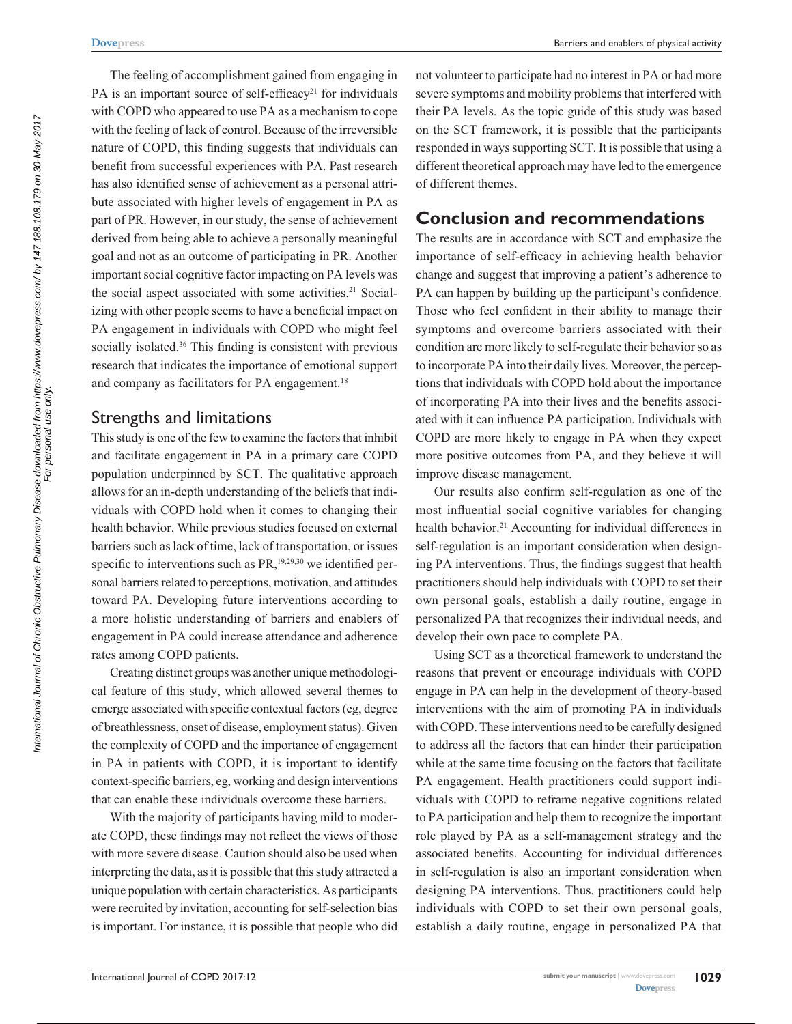The feeling of accomplishment gained from engaging in PA is an important source of self-efficacy<sup>21</sup> for individuals with COPD who appeared to use PA as a mechanism to cope with the feeling of lack of control. Because of the irreversible nature of COPD, this finding suggests that individuals can benefit from successful experiences with PA. Past research has also identified sense of achievement as a personal attribute associated with higher levels of engagement in PA as part of PR. However, in our study, the sense of achievement derived from being able to achieve a personally meaningful goal and not as an outcome of participating in PR. Another important social cognitive factor impacting on PA levels was the social aspect associated with some activities.<sup>21</sup> Socializing with other people seems to have a beneficial impact on PA engagement in individuals with COPD who might feel socially isolated.<sup>36</sup> This finding is consistent with previous research that indicates the importance of emotional support and company as facilitators for PA engagement.<sup>18</sup>

#### Strengths and limitations

This study is one of the few to examine the factors that inhibit and facilitate engagement in PA in a primary care COPD population underpinned by SCT. The qualitative approach allows for an in-depth understanding of the beliefs that individuals with COPD hold when it comes to changing their health behavior. While previous studies focused on external barriers such as lack of time, lack of transportation, or issues specific to interventions such as  $PR<sub>19,29,30</sub>$  we identified personal barriers related to perceptions, motivation, and attitudes toward PA. Developing future interventions according to a more holistic understanding of barriers and enablers of engagement in PA could increase attendance and adherence rates among COPD patients.

Creating distinct groups was another unique methodological feature of this study, which allowed several themes to emerge associated with specific contextual factors (eg, degree of breathlessness, onset of disease, employment status). Given the complexity of COPD and the importance of engagement in PA in patients with COPD, it is important to identify context-specific barriers, eg, working and design interventions that can enable these individuals overcome these barriers.

With the majority of participants having mild to moderate COPD, these findings may not reflect the views of those with more severe disease. Caution should also be used when interpreting the data, as it is possible that this study attracted a unique population with certain characteristics. As participants were recruited by invitation, accounting for self-selection bias is important. For instance, it is possible that people who did

not volunteer to participate had no interest in PA or had more severe symptoms and mobility problems that interfered with their PA levels. As the topic guide of this study was based on the SCT framework, it is possible that the participants responded in ways supporting SCT. It is possible that using a different theoretical approach may have led to the emergence of different themes.

## **Conclusion and recommendations**

The results are in accordance with SCT and emphasize the importance of self-efficacy in achieving health behavior change and suggest that improving a patient's adherence to PA can happen by building up the participant's confidence. Those who feel confident in their ability to manage their symptoms and overcome barriers associated with their condition are more likely to self-regulate their behavior so as to incorporate PA into their daily lives. Moreover, the perceptions that individuals with COPD hold about the importance of incorporating PA into their lives and the benefits associated with it can influence PA participation. Individuals with COPD are more likely to engage in PA when they expect more positive outcomes from PA, and they believe it will improve disease management.

Our results also confirm self-regulation as one of the most influential social cognitive variables for changing health behavior.<sup>21</sup> Accounting for individual differences in self-regulation is an important consideration when designing PA interventions. Thus, the findings suggest that health practitioners should help individuals with COPD to set their own personal goals, establish a daily routine, engage in personalized PA that recognizes their individual needs, and develop their own pace to complete PA.

Using SCT as a theoretical framework to understand the reasons that prevent or encourage individuals with COPD engage in PA can help in the development of theory-based interventions with the aim of promoting PA in individuals with COPD. These interventions need to be carefully designed to address all the factors that can hinder their participation while at the same time focusing on the factors that facilitate PA engagement. Health practitioners could support individuals with COPD to reframe negative cognitions related to PA participation and help them to recognize the important role played by PA as a self-management strategy and the associated benefits. Accounting for individual differences in self-regulation is also an important consideration when designing PA interventions. Thus, practitioners could help individuals with COPD to set their own personal goals, establish a daily routine, engage in personalized PA that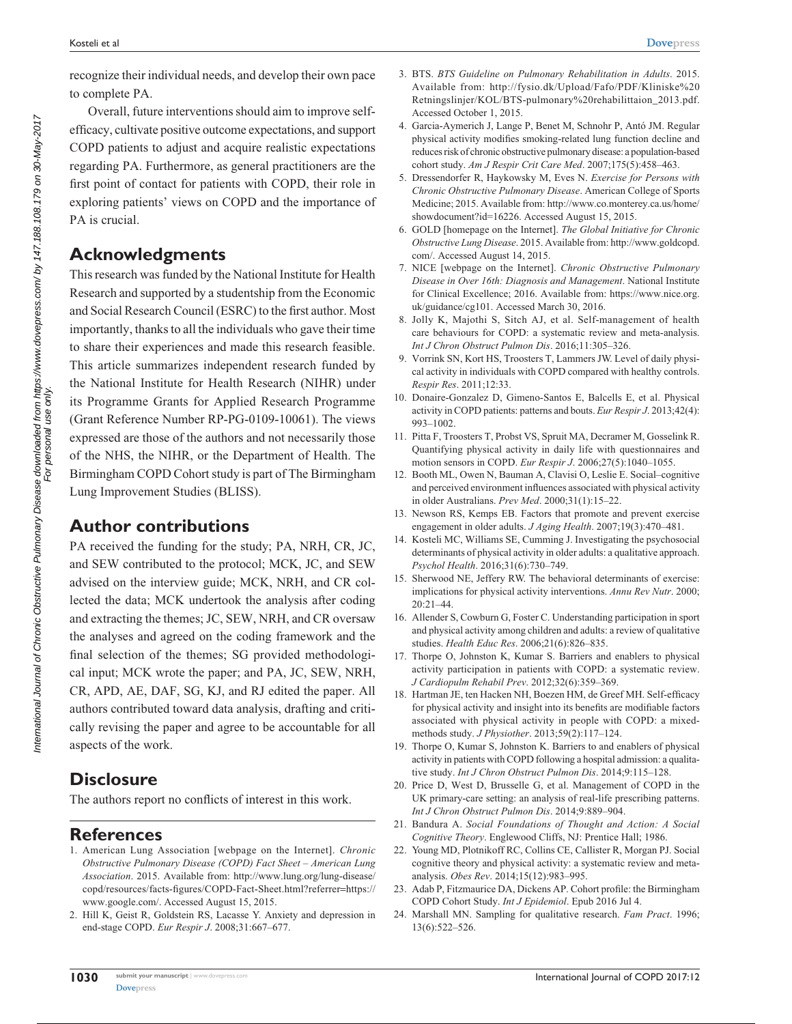recognize their individual needs, and develop their own pace to complete PA.

Overall, future interventions should aim to improve selfefficacy, cultivate positive outcome expectations, and support COPD patients to adjust and acquire realistic expectations regarding PA. Furthermore, as general practitioners are the first point of contact for patients with COPD, their role in exploring patients' views on COPD and the importance of PA is crucial.

## **Acknowledgments**

This research was funded by the National Institute for Health Research and supported by a studentship from the Economic and Social Research Council (ESRC) to the first author. Most importantly, thanks to all the individuals who gave their time to share their experiences and made this research feasible. This article summarizes independent research funded by the National Institute for Health Research (NIHR) under its Programme Grants for Applied Research Programme (Grant Reference Number RP-PG-0109-10061). The views expressed are those of the authors and not necessarily those of the NHS, the NIHR, or the Department of Health. The Birmingham COPD Cohort study is part of The Birmingham Lung Improvement Studies (BLISS).

## **Author contributions**

PA received the funding for the study; PA, NRH, CR, JC, and SEW contributed to the protocol; MCK, JC, and SEW advised on the interview guide; MCK, NRH, and CR collected the data; MCK undertook the analysis after coding and extracting the themes; JC, SEW, NRH, and CR oversaw the analyses and agreed on the coding framework and the final selection of the themes; SG provided methodological input; MCK wrote the paper; and PA, JC, SEW, NRH, CR, APD, AE, DAF, SG, KJ, and RJ edited the paper. All authors contributed toward data analysis, drafting and critically revising the paper and agree to be accountable for all aspects of the work.

## **Disclosure**

The authors report no conflicts of interest in this work.

## **References**

- 1. American Lung Association [webpage on the Internet]. *Chronic Obstructive Pulmonary Disease (COPD) Fact Sheet – American Lung Association*. 2015. Available from: [http://www.lung.org/lung-disease/](http://www.lung.org/lung-disease/copd/resources/facts-figures/COPD-Fact-Sheet.html?referrer=https://www.google.com/) [copd/resources/facts-figures/COPD-Fact-Sheet.html?referrer](http://www.lung.org/lung-disease/copd/resources/facts-figures/COPD-Fact-Sheet.html?referrer=https://www.google.com/)=https:// [www.google.com/.](http://www.lung.org/lung-disease/copd/resources/facts-figures/COPD-Fact-Sheet.html?referrer=https://www.google.com/) Accessed August 15, 2015.
- 2. Hill K, Geist R, Goldstein RS, Lacasse Y. Anxiety and depression in end-stage COPD. *Eur Respir J*. 2008;31:667–677.
- 3. BTS. *BTS Guideline on Pulmonary Rehabilitation in Adults*. 2015. Available from: [http://fysio.dk/Upload/Fafo/PDF/Kliniske%20](http://fysio.dk/Upload/Fafo/PDF/Kliniske%20Retningslinjer/KOL/BTS-pulmonary%20rehabilittaion_2013.pdf) [Retningslinjer/KOL/BTS-pulmonary%20rehabilittaion\\_2013.pdf](http://fysio.dk/Upload/Fafo/PDF/Kliniske%20Retningslinjer/KOL/BTS-pulmonary%20rehabilittaion_2013.pdf). Accessed October 1, 2015.
- 4. Garcia-Aymerich J, Lange P, Benet M, Schnohr P, Antó JM. Regular physical activity modifies smoking-related lung function decline and reduces risk of chronic obstructive pulmonary disease: a population-based cohort study. *Am J Respir Crit Care Med*. 2007;175(5):458–463.
- 5. Dressendorfer R, Haykowsky M, Eves N. *Exercise for Persons with Chronic Obstructive Pulmonary Disease*. American College of Sports Medicine; 2015. Available from: [http://www.co.monterey.ca.us/home/](http://www.co.monterey.ca.us/home/showdocument?id=16226) [showdocument?id=16226](http://www.co.monterey.ca.us/home/showdocument?id=16226). Accessed August 15, 2015.
- 6. GOLD [homepage on the Internet]. *The Global Initiative for Chronic Obstructive Lung Disease*. 2015. Available from: [http://www.goldcopd.](http://www.goldcopd.com/) [com/.](http://www.goldcopd.com/) Accessed August 14, 2015.
- 7. NICE [webpage on the Internet]. *Chronic Obstructive Pulmonary Disease in Over 16th: Diagnosis and Management*. National Institute for Clinical Excellence; 2016. Available from: [https://www.nice.org.](https://www.nice.org.uk/guidance/cg101) [uk/guidance/cg101](https://www.nice.org.uk/guidance/cg101). Accessed March 30, 2016.
- 8. Jolly K, Majothi S, Sitch AJ, et al. Self-management of health care behaviours for COPD: a systematic review and meta-analysis. *Int J Chron Obstruct Pulmon Dis*. 2016;11:305–326.
- 9. Vorrink SN, Kort HS, Troosters T, Lammers JW. Level of daily physical activity in individuals with COPD compared with healthy controls. *Respir Res*. 2011;12:33.
- 10. Donaire-Gonzalez D, Gimeno-Santos E, Balcells E, et al. Physical activity in COPD patients: patterns and bouts. *Eur Respir J*. 2013;42(4): 993–1002.
- 11. Pitta F, Troosters T, Probst VS, Spruit MA, Decramer M, Gosselink R. Quantifying physical activity in daily life with questionnaires and motion sensors in COPD. *Eur Respir J*. 2006;27(5):1040–1055.
- 12. Booth ML, Owen N, Bauman A, Clavisi O, Leslie E. Social–cognitive and perceived environment influences associated with physical activity in older Australians. *Prev Med*. 2000;31(1):15–22.
- 13. Newson RS, Kemps EB. Factors that promote and prevent exercise engagement in older adults. *J Aging Health*. 2007;19(3):470–481.
- 14. Kosteli MC, Williams SE, Cumming J. Investigating the psychosocial determinants of physical activity in older adults: a qualitative approach. *Psychol Health*. 2016;31(6):730–749.
- 15. Sherwood NE, Jeffery RW. The behavioral determinants of exercise: implications for physical activity interventions. *Annu Rev Nutr*. 2000; 20:21–44.
- 16. Allender S, Cowburn G, Foster C. Understanding participation in sport and physical activity among children and adults: a review of qualitative studies. *Health Educ Res*. 2006;21(6):826–835.
- 17. Thorpe O, Johnston K, Kumar S. Barriers and enablers to physical activity participation in patients with COPD: a systematic review. *J Cardiopulm Rehabil Prev*. 2012;32(6):359–369.
- 18. Hartman JE, ten Hacken NH, Boezen HM, de Greef MH. Self-efficacy for physical activity and insight into its benefits are modifiable factors associated with physical activity in people with COPD: a mixedmethods study. *J Physiother*. 2013;59(2):117–124.
- 19. Thorpe O, Kumar S, Johnston K. Barriers to and enablers of physical activity in patients with COPD following a hospital admission: a qualitative study. *Int J Chron Obstruct Pulmon Dis*. 2014;9:115–128.
- 20. Price D, West D, Brusselle G, et al. Management of COPD in the UK primary-care setting: an analysis of real-life prescribing patterns. *Int J Chron Obstruct Pulmon Dis*. 2014;9:889–904.
- 21. Bandura A. *Social Foundations of Thought and Action: A Social Cognitive Theory*. Englewood Cliffs, NJ: Prentice Hall; 1986.
- 22. Young MD, Plotnikoff RC, Collins CE, Callister R, Morgan PJ. Social cognitive theory and physical activity: a systematic review and metaanalysis. *Obes Rev*. 2014;15(12):983–995.
- 23. Adab P, Fitzmaurice DA, Dickens AP. Cohort profile: the Birmingham COPD Cohort Study. *Int J Epidemiol*. Epub 2016 Jul 4.
- 24. Marshall MN. Sampling for qualitative research. *Fam Pract*. 1996; 13(6):522–526.